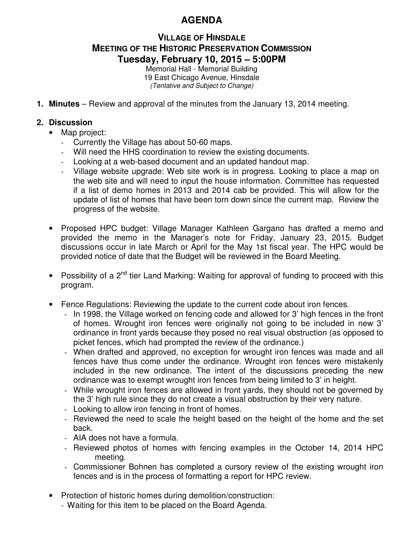## **AGENDA**

## **VILLAGE OF HINSDALE MEETING OF THE HISTORIC PRESERVATION COMMISSION Tuesday, February 10, 2015 – 5:00PM**

Memorial Hall - Memorial Building 19 East Chicago Avenue, Hinsdale (Tentative and Subject to Change)

**1. Minutes** – Review and approval of the minutes from the January 13, 2014 meeting.

## **2. Discussion**

- Map project:
	- Currently the Village has about 50-60 maps.
	- Will need the HHS coordination to review the existing documents.
	- Looking at a web-based document and an updated handout map.
	- Village website upgrade: Web site work is in progress. Looking to place a map on the web site and will need to input the house information. Committee has requested if a list of demo homes in 2013 and 2014 cab be provided. This will allow for the update of list of homes that have been torn down since the current map. Review the progress of the website.
- Proposed HPC budget: Village Manager Kathleen Gargano has drafted a memo and provided the memo in the Manager's note for Friday, January 23, 2015. Budget discussions occur in late March or April for the May 1st fiscal year. The HPC would be provided notice of date that the Budget will be reviewed in the Board Meeting.
- Possibility of a 2<sup>nd</sup> tier Land Marking: Waiting for approval of funding to proceed with this program.
- Fence Regulations: Reviewing the update to the current code about iron fences.
	- In 1998, the Village worked on fencing code and allowed for 3' high fences in the front of homes. Wrought iron fences were originally not going to be included in new 3' ordinance in front yards because they posed no real visual obstruction (as opposed to picket fences, which had prompted the review of the ordinance.)
	- When drafted and approved, no exception for wrought iron fences was made and all fences have thus come under the ordinance. Wrought iron fences were mistakenly included in the new ordinance. The intent of the discussions preceding the new ordinance was to exempt wrought iron fences from being limited to 3' in height.
	- While wrought iron fences are allowed in front yards, they should not be governed by the 3' high rule since they do not create a visual obstruction by their very nature.
	- Looking to allow iron fencing in front of homes.
	- Reviewed the need to scale the height based on the height of the home and the set back.
	- AIA does not have a formula.
	- Reviewed photos of homes with fencing examples in the October 14, 2014 HPC meeting.
	- Commissioner Bohnen has completed a cursory review of the existing wrought iron fences and is in the process of formatting a report for HPC review.
- Protection of historic homes during demolition/construction:
	- Waiting for this item to be placed on the Board Agenda.